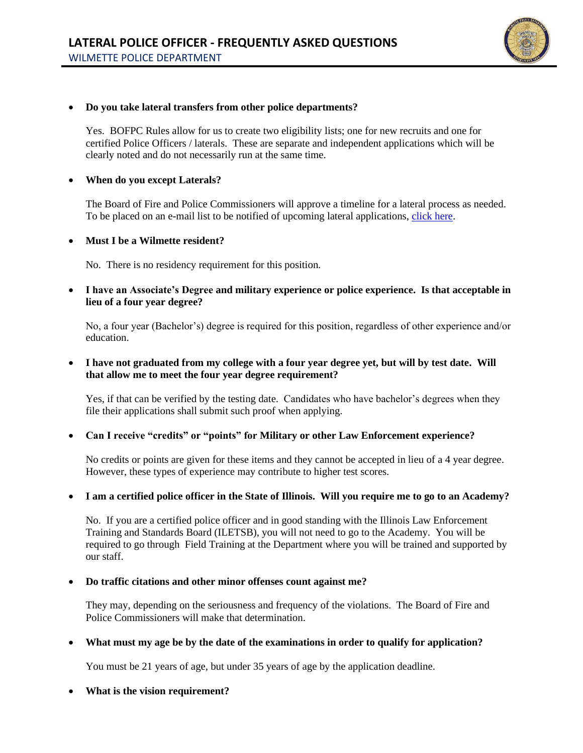

## • **Do you take lateral transfers from other police departments?**

Yes. BOFPC Rules allow for us to create two eligibility lists; one for new recruits and one for certified Police Officers / laterals. These are separate and independent applications which will be clearly noted and do not necessarily run at the same time.

#### • **When do you except Laterals?**

The Board of Fire and Police Commissioners will approve a timeline for a lateral process as needed. To be placed on an e-mail list to be notified of upcoming lateral applications, [click here.](https://forms.office.com/g/sseg3s9yns)

• **Must I be a Wilmette resident?**

No. There is no residency requirement for this position.

• **I have an Associate's Degree and military experience or police experience. Is that acceptable in lieu of a four year degree?**

No, a four year (Bachelor's) degree is required for this position, regardless of other experience and/or education.

### • **I have not graduated from my college with a four year degree yet, but will by test date. Will that allow me to meet the four year degree requirement?**

Yes, if that can be verified by the testing date. Candidates who have bachelor's degrees when they file their applications shall submit such proof when applying.

# • **Can I receive "credits" or "points" for Military or other Law Enforcement experience?**

No credits or points are given for these items and they cannot be accepted in lieu of a 4 year degree. However, these types of experience may contribute to higher test scores.

# • **I am a certified police officer in the State of Illinois. Will you require me to go to an Academy?**

No. If you are a certified police officer and in good standing with the Illinois Law Enforcement Training and Standards Board (ILETSB), you will not need to go to the Academy. You will be required to go through Field Training at the Department where you will be trained and supported by our staff.

#### • **Do traffic citations and other minor offenses count against me?**

They may, depending on the seriousness and frequency of the violations. The Board of Fire and Police Commissioners will make that determination.

# • **What must my age be by the date of the examinations in order to qualify for application?**

You must be 21 years of age, but under 35 years of age by the application deadline.

# • **What is the vision requirement?**